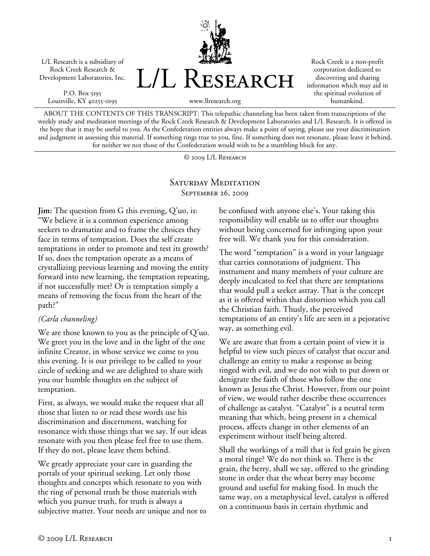L/L Research is a subsidiary of Rock Creek Research & Development Laboratories, Inc.

P.O. Box 5195 Louisville, KY 40255-0195



Rock Creek is a non-profit corporation dedicated to discovering and sharing information which may aid in the spiritual evolution of humankind.

ABOUT THE CONTENTS OF THIS TRANSCRIPT: This telepathic channeling has been taken from transcriptions of the weekly study and meditation meetings of the Rock Creek Research & Development Laboratories and L/L Research. It is offered in the hope that it may be useful to you. As the Confederation entities always make a point of saying, please use your discrimination and judgment in assessing this material. If something rings true to you, fine. If something does not resonate, please leave it behind, for neither we nor those of the Confederation would wish to be a stumbling block for any.

© 2009 L/L Research

## SATURDAY MEDITATION September 26, 2009

**Jim:** The question from G this evening, Q'uo, is: "We believe it is a common experience among seekers to dramatize and to frame the choices they face in terms of temptation. Does the self create temptations in order to promote and test its growth? If so, does the temptation operate as a means of crystallizing previous learning and moving the entity forward into new learning, the temptation repeating, if not successfully met? Or is temptation simply a means of removing the focus from the heart of the path?"

## *(Carla channeling)*

We are those known to you as the principle of Q'uo. We greet you in the love and in the light of the one infinite Creator, in whose service we come to you this evening. It is our privilege to be called to your circle of seeking and we are delighted to share with you our humble thoughts on the subject of temptation.

First, as always, we would make the request that all those that listen to or read these words use his discrimination and discernment, watching for resonance with those things that we say. If our ideas resonate with you then please feel free to use them. If they do not, please leave them behind.

We greatly appreciate your care in guarding the portals of your spiritual seeking. Let only those thoughts and concepts which resonate to you with the ring of personal truth be those materials with which you pursue truth, for truth is always a subjective matter. Your needs are unique and not to be confused with anyone else's. Your taking this responsibility will enable us to offer our thoughts without being concerned for infringing upon your free will. We thank you for this consideration.

The word "temptation" is a word in your language that carries connotations of judgment. This instrument and many members of your culture are deeply inculcated to feel that there are temptations that would pull a seeker astray. That is the concept as it is offered within that distortion which you call the Christian faith. Thusly, the perceived temptations of an entity's life are seen in a pejorative way, as something evil.

We are aware that from a certain point of view it is helpful to view such pieces of catalyst that occur and challenge an entity to make a response as being tinged with evil, and we do not wish to put down or denigrate the faith of those who follow the one known as Jesus the Christ. However, from our point of view, we would rather describe these occurrences of challenge as catalyst. "Catalyst" is a neutral term meaning that which, being present in a chemical process, affects change in other elements of an experiment without itself being altered.

Shall the workings of a mill that is fed grain be given a moral tinge? We do not think so. There is the grain, the berry, shall we say, offered to the grinding stone in order that the wheat berry may become ground and useful for making food. In much the same way, on a metaphysical level, catalyst is offered on a continuous basis in certain rhythmic and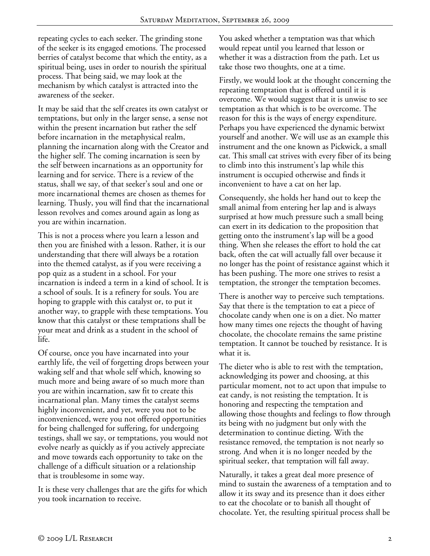repeating cycles to each seeker. The grinding stone of the seeker is its engaged emotions. The processed berries of catalyst become that which the entity, as a spiritual being, uses in order to nourish the spiritual process. That being said, we may look at the mechanism by which catalyst is attracted into the awareness of the seeker.

It may be said that the self creates its own catalyst or temptations, but only in the larger sense, a sense not within the present incarnation but rather the self before incarnation in the metaphysical realm, planning the incarnation along with the Creator and the higher self. The coming incarnation is seen by the self between incarnations as an opportunity for learning and for service. There is a review of the status, shall we say, of that seeker's soul and one or more incarnational themes are chosen as themes for learning. Thusly, you will find that the incarnational lesson revolves and comes around again as long as you are within incarnation.

This is not a process where you learn a lesson and then you are finished with a lesson. Rather, it is our understanding that there will always be a rotation into the themed catalyst, as if you were receiving a pop quiz as a student in a school. For your incarnation is indeed a term in a kind of school. It is a school of souls. It is a refinery for souls. You are hoping to grapple with this catalyst or, to put it another way, to grapple with these temptations. You know that this catalyst or these temptations shall be your meat and drink as a student in the school of life.

Of course, once you have incarnated into your earthly life, the veil of forgetting drops between your waking self and that whole self which, knowing so much more and being aware of so much more than you are within incarnation, saw fit to create this incarnational plan. Many times the catalyst seems highly inconvenient, and yet, were you not to be inconvenienced, were you not offered opportunities for being challenged for suffering, for undergoing testings, shall we say, or temptations, you would not evolve nearly as quickly as if you actively appreciate and move towards each opportunity to take on the challenge of a difficult situation or a relationship that is troublesome in some way.

It is these very challenges that are the gifts for which you took incarnation to receive.

You asked whether a temptation was that which would repeat until you learned that lesson or whether it was a distraction from the path. Let us take those two thoughts, one at a time.

Firstly, we would look at the thought concerning the repeating temptation that is offered until it is overcome. We would suggest that it is unwise to see temptation as that which is to be overcome. The reason for this is the ways of energy expenditure. Perhaps you have experienced the dynamic betwixt yourself and another. We will use as an example this instrument and the one known as Pickwick, a small cat. This small cat strives with every fiber of its being to climb into this instrument's lap while this instrument is occupied otherwise and finds it inconvenient to have a cat on her lap.

Consequently, she holds her hand out to keep the small animal from entering her lap and is always surprised at how much pressure such a small being can exert in its dedication to the proposition that getting onto the instrument's lap will be a good thing. When she releases the effort to hold the cat back, often the cat will actually fall over because it no longer has the point of resistance against which it has been pushing. The more one strives to resist a temptation, the stronger the temptation becomes.

There is another way to perceive such temptations. Say that there is the temptation to eat a piece of chocolate candy when one is on a diet. No matter how many times one rejects the thought of having chocolate, the chocolate remains the same pristine temptation. It cannot be touched by resistance. It is what it is.

The dieter who is able to rest with the temptation, acknowledging its power and choosing, at this particular moment, not to act upon that impulse to eat candy, is not resisting the temptation. It is honoring and respecting the temptation and allowing those thoughts and feelings to flow through its being with no judgment but only with the determination to continue dieting. With the resistance removed, the temptation is not nearly so strong. And when it is no longer needed by the spiritual seeker, that temptation will fall away.

Naturally, it takes a great deal more presence of mind to sustain the awareness of a temptation and to allow it its sway and its presence than it does either to eat the chocolate or to banish all thought of chocolate. Yet, the resulting spiritual process shall be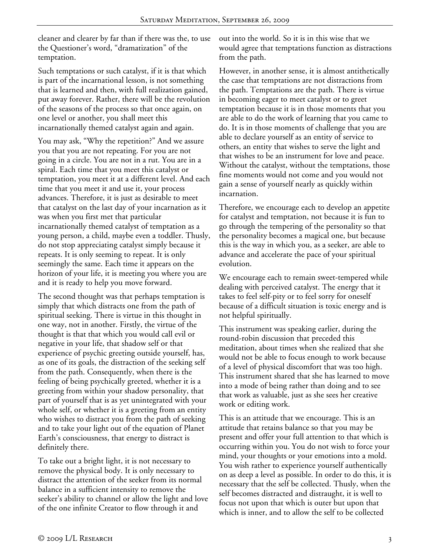cleaner and clearer by far than if there was the, to use the Questioner's word, "dramatization" of the temptation.

Such temptations or such catalyst, if it is that which is part of the incarnational lesson, is not something that is learned and then, with full realization gained, put away forever. Rather, there will be the revolution of the seasons of the process so that once again, on one level or another, you shall meet this incarnationally themed catalyst again and again.

You may ask, "Why the repetition?" And we assure you that you are not repeating. For you are not going in a circle. You are not in a rut. You are in a spiral. Each time that you meet this catalyst or temptation, you meet it at a different level. And each time that you meet it and use it, your process advances. Therefore, it is just as desirable to meet that catalyst on the last day of your incarnation as it was when you first met that particular incarnationally themed catalyst of temptation as a young person, a child, maybe even a toddler. Thusly, do not stop appreciating catalyst simply because it repeats. It is only seeming to repeat. It is only seemingly the same. Each time it appears on the horizon of your life, it is meeting you where you are and it is ready to help you move forward.

The second thought was that perhaps temptation is simply that which distracts one from the path of spiritual seeking. There is virtue in this thought in one way, not in another. Firstly, the virtue of the thought is that that which you would call evil or negative in your life, that shadow self or that experience of psychic greeting outside yourself, has, as one of its goals, the distraction of the seeking self from the path. Consequently, when there is the feeling of being psychically greeted, whether it is a greeting from within your shadow personality, that part of yourself that is as yet unintegrated with your whole self, or whether it is a greeting from an entity who wishes to distract you from the path of seeking and to take your light out of the equation of Planet Earth's consciousness, that energy to distract is definitely there.

To take out a bright light, it is not necessary to remove the physical body. It is only necessary to distract the attention of the seeker from its normal balance in a sufficient intensity to remove the seeker's ability to channel or allow the light and love of the one infinite Creator to flow through it and

out into the world. So it is in this wise that we would agree that temptations function as distractions from the path.

However, in another sense, it is almost antithetically the case that temptations are not distractions from the path. Temptations are the path. There is virtue in becoming eager to meet catalyst or to greet temptation because it is in those moments that you are able to do the work of learning that you came to do. It is in those moments of challenge that you are able to declare yourself as an entity of service to others, an entity that wishes to serve the light and that wishes to be an instrument for love and peace. Without the catalyst, without the temptations, those fine moments would not come and you would not gain a sense of yourself nearly as quickly within incarnation.

Therefore, we encourage each to develop an appetite for catalyst and temptation, not because it is fun to go through the tempering of the personality so that the personality becomes a magical one, but because this is the way in which you, as a seeker, are able to advance and accelerate the pace of your spiritual evolution.

We encourage each to remain sweet-tempered while dealing with perceived catalyst. The energy that it takes to feel self-pity or to feel sorry for oneself because of a difficult situation is toxic energy and is not helpful spiritually.

This instrument was speaking earlier, during the round-robin discussion that preceded this meditation, about times when she realized that she would not be able to focus enough to work because of a level of physical discomfort that was too high. This instrument shared that she has learned to move into a mode of being rather than doing and to see that work as valuable, just as she sees her creative work or editing work.

This is an attitude that we encourage. This is an attitude that retains balance so that you may be present and offer your full attention to that which is occurring within you. You do not wish to force your mind, your thoughts or your emotions into a mold. You wish rather to experience yourself authentically on as deep a level as possible. In order to do this, it is necessary that the self be collected. Thusly, when the self becomes distracted and distraught, it is well to focus not upon that which is outer but upon that which is inner, and to allow the self to be collected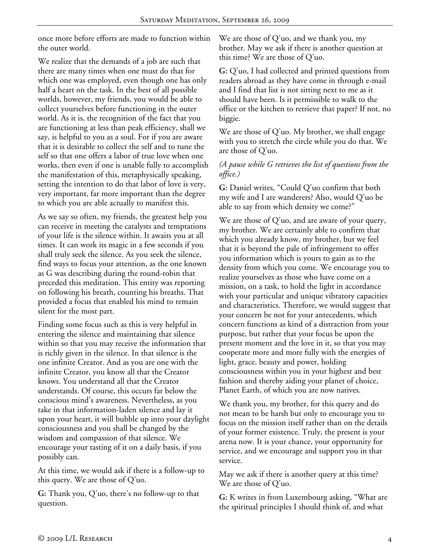once more before efforts are made to function within the outer world.

We realize that the demands of a job are such that there are many times when one must do that for which one was employed, even though one has only half a heart on the task. In the best of all possible worlds, however, my friends, you would be able to collect yourselves before functioning in the outer world. As it is, the recognition of the fact that you are functioning at less than peak efficiency, shall we say, is helpful to you as a soul. For if you are aware that it is desirable to collect the self and to tune the self so that one offers a labor of true love when one works, then even if one is unable fully to accomplish the manifestation of this, metaphysically speaking, setting the intention to do that labor of love is very, very important, far more important than the degree to which you are able actually to manifest this.

As we say so often, my friends, the greatest help you can receive in meeting the catalysts and temptations of your life is the silence within. It awaits you at all times. It can work its magic in a few seconds if you shall truly seek the silence. As you seek the silence, find ways to focus your attention, as the one known as G was describing during the round-robin that preceded this meditation. This entity was reporting on following his breath, counting his breaths. That provided a focus that enabled his mind to remain silent for the most part.

Finding some focus such as this is very helpful in entering the silence and maintaining that silence within so that you may receive the information that is richly given in the silence. In that silence is the one infinite Creator. And as you are one with the infinite Creator, you know all that the Creator knows. You understand all that the Creator understands. Of course, this occurs far below the conscious mind's awareness. Nevertheless, as you take in that information-laden silence and lay it upon your heart, it will bubble up into your daylight consciousness and you shall be changed by the wisdom and compassion of that silence. We encourage your tasting of it on a daily basis, if you possibly can.

At this time, we would ask if there is a follow-up to this query. We are those of  $Q'$ uo.

**G:** Thank you, Q'uo, there's no follow-up to that question.

We are those of Q'uo, and we thank you, my brother. May we ask if there is another question at this time? We are those of Q'uo.

**G:** Q'uo, I had collected and printed questions from readers abroad as they have come in through e-mail and I find that list is not sitting next to me as it should have been. Is it permissible to walk to the office or the kitchen to retrieve that paper? If not, no biggie.

We are those of Q'uo. My brother, we shall engage with you to stretch the circle while you do that. We are those of Q'uo.

## *(A pause while G retrieves the list of questions from the office.)*

**G:** Daniel writes, "Could Q'uo confirm that both my wife and I are wanderers? Also, would Q'uo be able to say from which density we come?"

We are those of  $Q'$ uo, and are aware of your query, my brother. We are certainly able to confirm that which you already know, my brother, but we feel that it is beyond the pale of infringement to offer you information which is yours to gain as to the density from which you come. We encourage you to realize yourselves as those who have come on a mission, on a task, to hold the light in accordance with your particular and unique vibratory capacities and characteristics. Therefore, we would suggest that your concern be not for your antecedents, which concern functions as kind of a distraction from your purpose, but rather that your focus be upon the present moment and the love in it, so that you may cooperate more and more fully with the energies of light, grace, beauty and power, holding consciousness within you in your highest and best fashion and thereby aiding your planet of choice, Planet Earth, of which you are now natives.

We thank you, my brother, for this query and do not mean to be harsh but only to encourage you to focus on the mission itself rather than on the details of your former existence. Truly, the present is your arena now. It is your chance, your opportunity for service, and we encourage and support you in that service.

May we ask if there is another query at this time? We are those of Q'uo.

**G:** K writes in from Luxembourg asking, "What are the spiritual principles I should think of, and what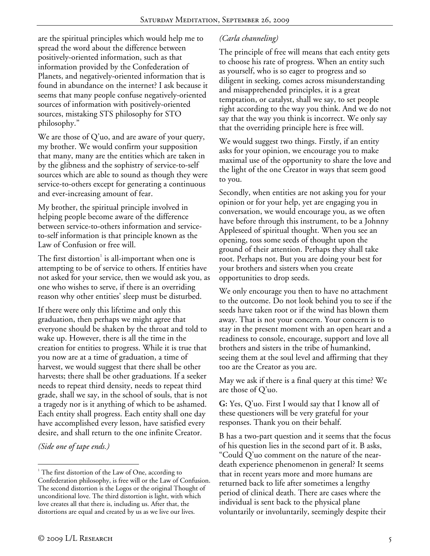are the spiritual principles which would help me to spread the word about the difference between positively-oriented information, such as that information provided by the Confederation of Planets, and negatively-oriented information that is found in abundance on the internet? I ask because it seems that many people confuse negatively-oriented sources of information with positively-oriented sources, mistaking STS philosophy for STO philosophy."

We are those of Q'uo, and are aware of your query, my brother. We would confirm your supposition that many, many are the entities which are taken in by the glibness and the sophistry of service-to-self sources which are able to sound as though they were service-to-others except for generating a continuous and ever-increasing amount of fear.

My brother, the spiritual principle involved in helping people become aware of the difference between service-to-others information and serviceto-self information is that principle known as the Law of Confusion or free will.

The first distortion $^{\text{!}}$  is all-important when one is attempting to be of service to others. If entities have not asked for your service, then we would ask you, as one who wishes to serve, if there is an overriding reason why other entities' sleep must be disturbed.

If there were only this lifetime and only this graduation, then perhaps we might agree that everyone should be shaken by the throat and told to wake up. However, there is all the time in the creation for entities to progress. While it is true that you now are at a time of graduation, a time of harvest, we would suggest that there shall be other harvests; there shall be other graduations. If a seeker needs to repeat third density, needs to repeat third grade, shall we say, in the school of souls, that is not a tragedy nor is it anything of which to be ashamed. Each entity shall progress. Each entity shall one day have accomplished every lesson, have satisfied every desire, and shall return to the one infinite Creator.

*(Side one of tape ends.)* 

## *(Carla channeling)*

The principle of free will means that each entity gets to choose his rate of progress. When an entity such as yourself, who is so eager to progress and so diligent in seeking, comes across misunderstanding and misapprehended principles, it is a great temptation, or catalyst, shall we say, to set people right according to the way you think. And we do not say that the way you think is incorrect. We only say that the overriding principle here is free will.

We would suggest two things. Firstly, if an entity asks for your opinion, we encourage you to make maximal use of the opportunity to share the love and the light of the one Creator in ways that seem good to you.

Secondly, when entities are not asking you for your opinion or for your help, yet are engaging you in conversation, we would encourage you, as we often have before through this instrument, to be a Johnny Appleseed of spiritual thought. When you see an opening, toss some seeds of thought upon the ground of their attention. Perhaps they shall take root. Perhaps not. But you are doing your best for your brothers and sisters when you create opportunities to drop seeds.

We only encourage you then to have no attachment to the outcome. Do not look behind you to see if the seeds have taken root or if the wind has blown them away. That is not your concern. Your concern is to stay in the present moment with an open heart and a readiness to console, encourage, support and love all brothers and sisters in the tribe of humankind, seeing them at the soul level and affirming that they too are the Creator as you are.

May we ask if there is a final query at this time? We are those of Q'uo.

**G:** Yes, Q'uo. First I would say that I know all of these questioners will be very grateful for your responses. Thank you on their behalf.

B has a two-part question and it seems that the focus of his question lies in the second part of it. B asks, "Could Q'uo comment on the nature of the neardeath experience phenomenon in general? It seems that in recent years more and more humans are returned back to life after sometimes a lengthy period of clinical death. There are cases where the individual is sent back to the physical plane voluntarily or involuntarily, seemingly despite their

<sup>-</sup><sup>1</sup> The first distortion of the Law of One, according to Confederation philosophy, is free will or the Law of Confusion. The second distortion is the Logos or the original Thought of unconditional love. The third distortion is light, with which love creates all that there is, including us. After that, the distortions are equal and created by us as we live our lives.